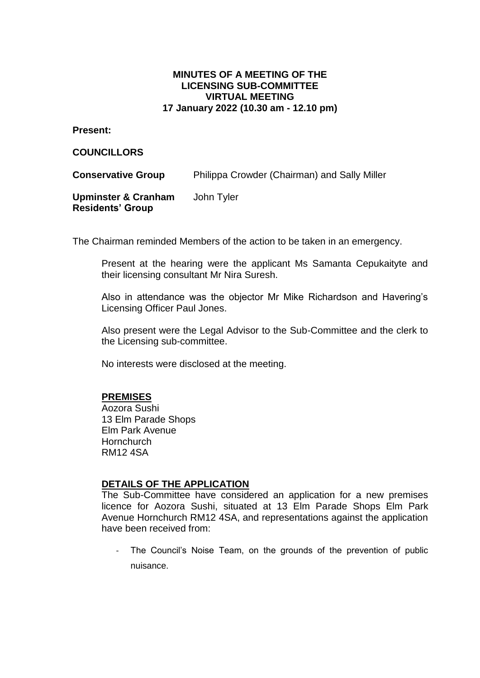## **MINUTES OF A MEETING OF THE LICENSING SUB-COMMITTEE VIRTUAL MEETING 17 January 2022 (10.30 am - 12.10 pm)**

**Present:**

**COUNCILLORS**

**Conservative Group** Philippa Crowder (Chairman) and Sally Miller

**Upminster & Cranham Residents' Group** John Tyler

The Chairman reminded Members of the action to be taken in an emergency.

Present at the hearing were the applicant Ms Samanta Cepukaityte and their licensing consultant Mr Nira Suresh.

Also in attendance was the objector Mr Mike Richardson and Havering's Licensing Officer Paul Jones.

Also present were the Legal Advisor to the Sub-Committee and the clerk to the Licensing sub-committee.

No interests were disclosed at the meeting.

## **PREMISES**

Aozora Sushi 13 Elm Parade Shops Elm Park Avenue **Hornchurch** RM12 4SA

## **DETAILS OF THE APPLICATION**

The Sub-Committee have considered an application for a new premises licence for Aozora Sushi, situated at 13 Elm Parade Shops Elm Park Avenue Hornchurch RM12 4SA, and representations against the application have been received from:

The Council's Noise Team, on the grounds of the prevention of public nuisance.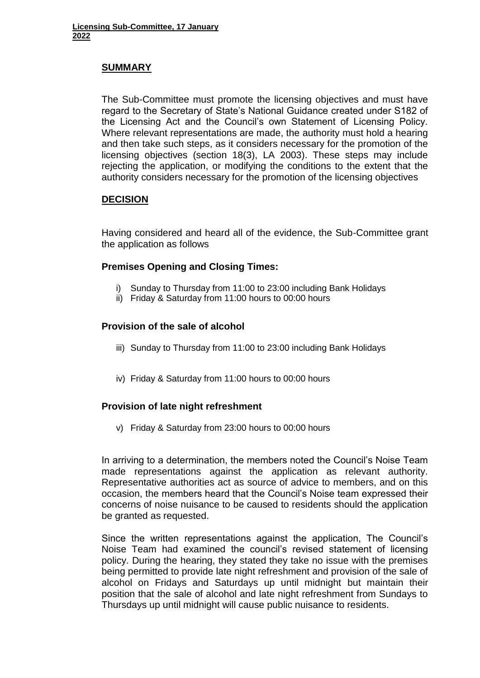## **SUMMARY**

The Sub-Committee must promote the licensing objectives and must have regard to the Secretary of State's National Guidance created under S182 of the Licensing Act and the Council's own Statement of Licensing Policy. Where relevant representations are made, the authority must hold a hearing and then take such steps, as it considers necessary for the promotion of the licensing objectives (section 18(3), LA 2003). These steps may include rejecting the application, or modifying the conditions to the extent that the authority considers necessary for the promotion of the licensing objectives

## **DECISION**

Having considered and heard all of the evidence, the Sub-Committee grant the application as follows

# **Premises Opening and Closing Times:**

- i) Sunday to Thursday from 11:00 to 23:00 including Bank Holidays
- ii) Friday & Saturday from 11:00 hours to 00:00 hours

## **Provision of the sale of alcohol**

- iii) Sunday to Thursday from 11:00 to 23:00 including Bank Holidays
- iv) Friday & Saturday from 11:00 hours to 00:00 hours

## **Provision of late night refreshment**

v) Friday & Saturday from 23:00 hours to 00:00 hours

In arriving to a determination, the members noted the Council's Noise Team made representations against the application as relevant authority. Representative authorities act as source of advice to members, and on this occasion, the members heard that the Council's Noise team expressed their concerns of noise nuisance to be caused to residents should the application be granted as requested.

Since the written representations against the application, The Council's Noise Team had examined the council's revised statement of licensing policy. During the hearing, they stated they take no issue with the premises being permitted to provide late night refreshment and provision of the sale of alcohol on Fridays and Saturdays up until midnight but maintain their position that the sale of alcohol and late night refreshment from Sundays to Thursdays up until midnight will cause public nuisance to residents.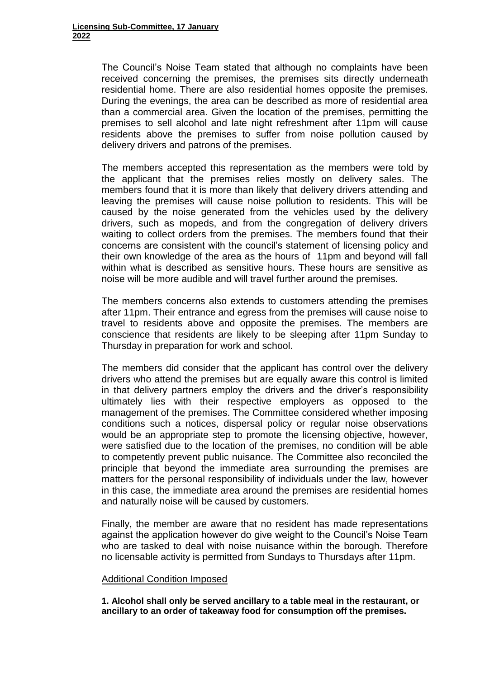The Council's Noise Team stated that although no complaints have been received concerning the premises, the premises sits directly underneath residential home. There are also residential homes opposite the premises. During the evenings, the area can be described as more of residential area than a commercial area. Given the location of the premises, permitting the premises to sell alcohol and late night refreshment after 11pm will cause residents above the premises to suffer from noise pollution caused by delivery drivers and patrons of the premises.

The members accepted this representation as the members were told by the applicant that the premises relies mostly on delivery sales. The members found that it is more than likely that delivery drivers attending and leaving the premises will cause noise pollution to residents. This will be caused by the noise generated from the vehicles used by the delivery drivers, such as mopeds, and from the congregation of delivery drivers waiting to collect orders from the premises. The members found that their concerns are consistent with the council's statement of licensing policy and their own knowledge of the area as the hours of 11pm and beyond will fall within what is described as sensitive hours. These hours are sensitive as noise will be more audible and will travel further around the premises.

The members concerns also extends to customers attending the premises after 11pm. Their entrance and egress from the premises will cause noise to travel to residents above and opposite the premises. The members are conscience that residents are likely to be sleeping after 11pm Sunday to Thursday in preparation for work and school.

The members did consider that the applicant has control over the delivery drivers who attend the premises but are equally aware this control is limited in that delivery partners employ the drivers and the driver's responsibility ultimately lies with their respective employers as opposed to the management of the premises. The Committee considered whether imposing conditions such a notices, dispersal policy or regular noise observations would be an appropriate step to promote the licensing objective, however, were satisfied due to the location of the premises, no condition will be able to competently prevent public nuisance. The Committee also reconciled the principle that beyond the immediate area surrounding the premises are matters for the personal responsibility of individuals under the law, however in this case, the immediate area around the premises are residential homes and naturally noise will be caused by customers.

Finally, the member are aware that no resident has made representations against the application however do give weight to the Council's Noise Team who are tasked to deal with noise nuisance within the borough. Therefore no licensable activity is permitted from Sundays to Thursdays after 11pm.

#### Additional Condition Imposed

**1. Alcohol shall only be served ancillary to a table meal in the restaurant, or ancillary to an order of takeaway food for consumption off the premises.**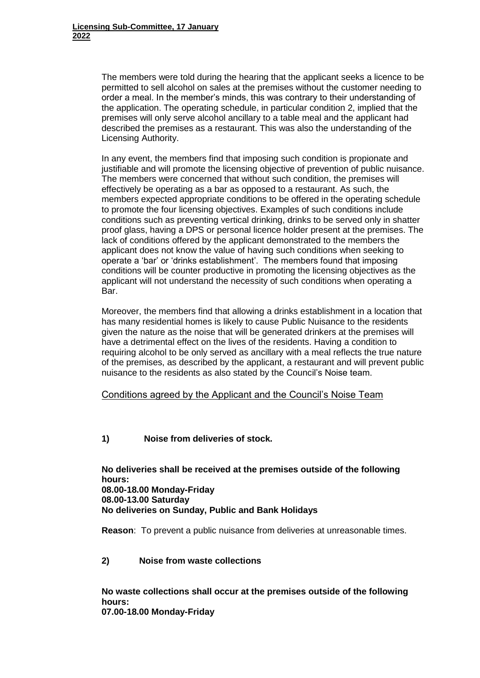The members were told during the hearing that the applicant seeks a licence to be permitted to sell alcohol on sales at the premises without the customer needing to order a meal. In the member's minds, this was contrary to their understanding of the application. The operating schedule, in particular condition 2, implied that the premises will only serve alcohol ancillary to a table meal and the applicant had described the premises as a restaurant. This was also the understanding of the Licensing Authority.

In any event, the members find that imposing such condition is propionate and justifiable and will promote the licensing objective of prevention of public nuisance. The members were concerned that without such condition, the premises will effectively be operating as a bar as opposed to a restaurant. As such, the members expected appropriate conditions to be offered in the operating schedule to promote the four licensing objectives. Examples of such conditions include conditions such as preventing vertical drinking, drinks to be served only in shatter proof glass, having a DPS or personal licence holder present at the premises. The lack of conditions offered by the applicant demonstrated to the members the applicant does not know the value of having such conditions when seeking to operate a 'bar' or 'drinks establishment'. The members found that imposing conditions will be counter productive in promoting the licensing objectives as the applicant will not understand the necessity of such conditions when operating a Bar.

Moreover, the members find that allowing a drinks establishment in a location that has many residential homes is likely to cause Public Nuisance to the residents given the nature as the noise that will be generated drinkers at the premises will have a detrimental effect on the lives of the residents. Having a condition to requiring alcohol to be only served as ancillary with a meal reflects the true nature of the premises, as described by the applicant, a restaurant and will prevent public nuisance to the residents as also stated by the Council's Noise team.

#### Conditions agreed by the Applicant and the Council's Noise Team

#### **1) Noise from deliveries of stock.**

**No deliveries shall be received at the premises outside of the following hours: 08.00-18.00 Monday-Friday 08.00-13.00 Saturday No deliveries on Sunday, Public and Bank Holidays**

**Reason**: To prevent a public nuisance from deliveries at unreasonable times.

## **2) Noise from waste collections**

**No waste collections shall occur at the premises outside of the following hours: 07.00-18.00 Monday-Friday**